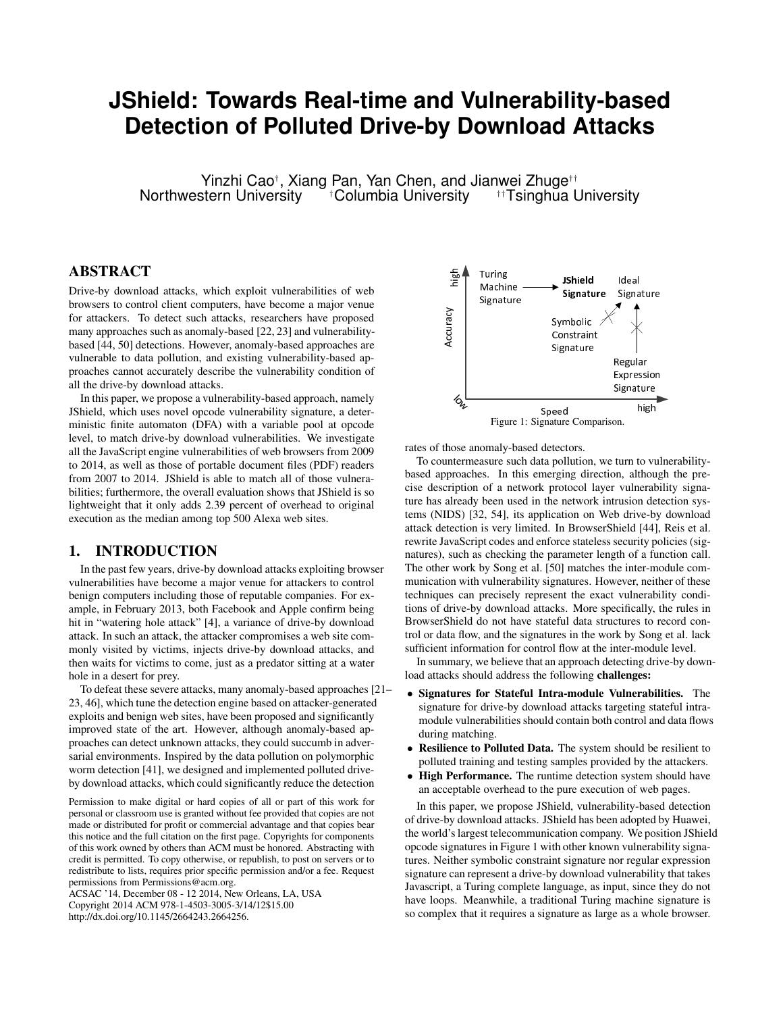# **JShield: Towards Real-time and Vulnerability-based Detection of Polluted Drive-by Download Attacks**

Yinzhi Cao† , Xiang Pan, Yan Chen, and Jianwei Zhuge†† Northwestern University <sup>\*</sup> Columbia University <sup>††</sup>Tsinghua University

### ABSTRACT

Drive-by download attacks, which exploit vulnerabilities of web browsers to control client computers, have become a major venue for attackers. To detect such attacks, researchers have proposed many approaches such as anomaly-based [22, 23] and vulnerabilitybased [44, 50] detections. However, anomaly-based approaches are vulnerable to data pollution, and existing vulnerability-based approaches cannot accurately describe the vulnerability condition of all the drive-by download attacks.

In this paper, we propose a vulnerability-based approach, namely JShield, which uses novel opcode vulnerability signature, a deterministic finite automaton (DFA) with a variable pool at opcode level, to match drive-by download vulnerabilities. We investigate all the JavaScript engine vulnerabilities of web browsers from 2009 to 2014, as well as those of portable document files (PDF) readers from 2007 to 2014. JShield is able to match all of those vulnerabilities; furthermore, the overall evaluation shows that JShield is so lightweight that it only adds 2.39 percent of overhead to original execution as the median among top 500 Alexa web sites.

### 1. INTRODUCTION

In the past few years, drive-by download attacks exploiting browser vulnerabilities have become a major venue for attackers to control benign computers including those of reputable companies. For example, in February 2013, both Facebook and Apple confirm being hit in "watering hole attack" [4], a variance of drive-by download attack. In such an attack, the attacker compromises a web site commonly visited by victims, injects drive-by download attacks, and then waits for victims to come, just as a predator sitting at a water hole in a desert for prey.

To defeat these severe attacks, many anomaly-based approaches [21– 23, 46], which tune the detection engine based on attacker-generated exploits and benign web sites, have been proposed and significantly improved state of the art. However, although anomaly-based approaches can detect unknown attacks, they could succumb in adversarial environments. Inspired by the data pollution on polymorphic worm detection [41], we designed and implemented polluted driveby download attacks, which could significantly reduce the detection

Permission to make digital or hard copies of all or part of this work for personal or classroom use is granted without fee provided that copies are not made or distributed for profit or commercial advantage and that copies bear this notice and the full citation on the first page. Copyrights for components of this work owned by others than ACM must be honored. Abstracting with credit is permitted. To copy otherwise, or republish, to post on servers or to redistribute to lists, requires prior specific permission and/or a fee. Request permissions from Permissions@acm.org.

ACSAC '14, December 08 - 12 2014, New Orleans, LA, USA Copyright 2014 ACM 978-1-4503-3005-3/14/12\$15.00 http://dx.doi.org/10.1145/2664243.2664256.



rates of those anomaly-based detectors.

To countermeasure such data pollution, we turn to vulnerabilitybased approaches. In this emerging direction, although the precise description of a network protocol layer vulnerability signature has already been used in the network intrusion detection systems (NIDS) [32, 54], its application on Web drive-by download attack detection is very limited. In BrowserShield [44], Reis et al. rewrite JavaScript codes and enforce stateless security policies (signatures), such as checking the parameter length of a function call. The other work by Song et al. [50] matches the inter-module communication with vulnerability signatures. However, neither of these techniques can precisely represent the exact vulnerability conditions of drive-by download attacks. More specifically, the rules in BrowserShield do not have stateful data structures to record control or data flow, and the signatures in the work by Song et al. lack sufficient information for control flow at the inter-module level.

In summary, we believe that an approach detecting drive-by download attacks should address the following challenges:

- Signatures for Stateful Intra-module Vulnerabilities. The signature for drive-by download attacks targeting stateful intramodule vulnerabilities should contain both control and data flows during matching.
- Resilience to Polluted Data. The system should be resilient to polluted training and testing samples provided by the attackers.
- High Performance. The runtime detection system should have an acceptable overhead to the pure execution of web pages.

In this paper, we propose JShield, vulnerability-based detection of drive-by download attacks. JShield has been adopted by Huawei, the world's largest telecommunication company. We position JShield opcode signatures in Figure 1 with other known vulnerability signatures. Neither symbolic constraint signature nor regular expression signature can represent a drive-by download vulnerability that takes Javascript, a Turing complete language, as input, since they do not have loops. Meanwhile, a traditional Turing machine signature is so complex that it requires a signature as large as a whole browser.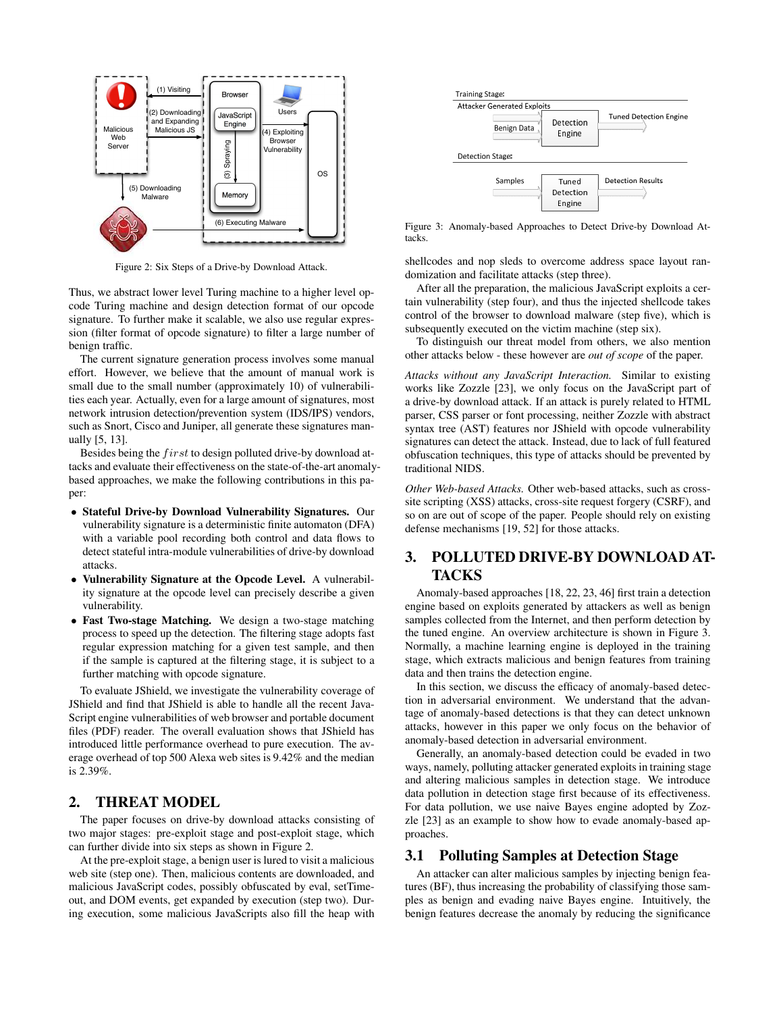

Figure 2: Six Steps of a Drive-by Download Attack.

Thus, we abstract lower level Turing machine to a higher level opcode Turing machine and design detection format of our opcode signature. To further make it scalable, we also use regular expression (filter format of opcode signature) to filter a large number of benign traffic.

The current signature generation process involves some manual effort. However, we believe that the amount of manual work is small due to the small number (approximately 10) of vulnerabilities each year. Actually, even for a large amount of signatures, most network intrusion detection/prevention system (IDS/IPS) vendors, such as Snort, Cisco and Juniper, all generate these signatures manually [5, 13].

Besides being the *first* to design polluted drive-by download attacks and evaluate their effectiveness on the state-of-the-art anomalybased approaches, we make the following contributions in this paper:

- Stateful Drive-by Download Vulnerability Signatures. Our vulnerability signature is a deterministic finite automaton (DFA) with a variable pool recording both control and data flows to detect stateful intra-module vulnerabilities of drive-by download attacks.
- Vulnerability Signature at the Opcode Level. A vulnerability signature at the opcode level can precisely describe a given vulnerability.
- Fast Two-stage Matching. We design a two-stage matching process to speed up the detection. The filtering stage adopts fast regular expression matching for a given test sample, and then if the sample is captured at the filtering stage, it is subject to a further matching with opcode signature.

To evaluate JShield, we investigate the vulnerability coverage of JShield and find that JShield is able to handle all the recent Java-Script engine vulnerabilities of web browser and portable document files (PDF) reader. The overall evaluation shows that JShield has introduced little performance overhead to pure execution. The average overhead of top 500 Alexa web sites is 9.42% and the median is 2.39%.

# 2. THREAT MODEL

The paper focuses on drive-by download attacks consisting of two major stages: pre-exploit stage and post-exploit stage, which can further divide into six steps as shown in Figure 2.

At the pre-exploit stage, a benign user is lured to visit a malicious web site (step one). Then, malicious contents are downloaded, and malicious JavaScript codes, possibly obfuscated by eval, setTimeout, and DOM events, get expanded by execution (step two). During execution, some malicious JavaScripts also fill the heap with



Figure 3: Anomaly-based Approaches to Detect Drive-by Download Attacks.

shellcodes and nop sleds to overcome address space layout randomization and facilitate attacks (step three).

After all the preparation, the malicious JavaScript exploits a certain vulnerability (step four), and thus the injected shellcode takes control of the browser to download malware (step five), which is subsequently executed on the victim machine (step six).

To distinguish our threat model from others, we also mention other attacks below - these however are *out of scope* of the paper.

*Attacks without any JavaScript Interaction.* Similar to existing works like Zozzle [23], we only focus on the JavaScript part of a drive-by download attack. If an attack is purely related to HTML parser, CSS parser or font processing, neither Zozzle with abstract syntax tree (AST) features nor JShield with opcode vulnerability signatures can detect the attack. Instead, due to lack of full featured obfuscation techniques, this type of attacks should be prevented by traditional NIDS.

*Other Web-based Attacks.* Other web-based attacks, such as crosssite scripting (XSS) attacks, cross-site request forgery (CSRF), and so on are out of scope of the paper. People should rely on existing defense mechanisms [19, 52] for those attacks.

# 3. POLLUTED DRIVE-BY DOWNLOAD AT-TACKS

Anomaly-based approaches [18, 22, 23, 46] first train a detection engine based on exploits generated by attackers as well as benign samples collected from the Internet, and then perform detection by the tuned engine. An overview architecture is shown in Figure 3. Normally, a machine learning engine is deployed in the training stage, which extracts malicious and benign features from training data and then trains the detection engine.

In this section, we discuss the efficacy of anomaly-based detection in adversarial environment. We understand that the advantage of anomaly-based detections is that they can detect unknown attacks, however in this paper we only focus on the behavior of anomaly-based detection in adversarial environment.

Generally, an anomaly-based detection could be evaded in two ways, namely, polluting attacker generated exploits in training stage and altering malicious samples in detection stage. We introduce data pollution in detection stage first because of its effectiveness. For data pollution, we use naive Bayes engine adopted by Zozzle [23] as an example to show how to evade anomaly-based approaches.

### 3.1 Polluting Samples at Detection Stage

An attacker can alter malicious samples by injecting benign features (BF), thus increasing the probability of classifying those samples as benign and evading naive Bayes engine. Intuitively, the benign features decrease the anomaly by reducing the significance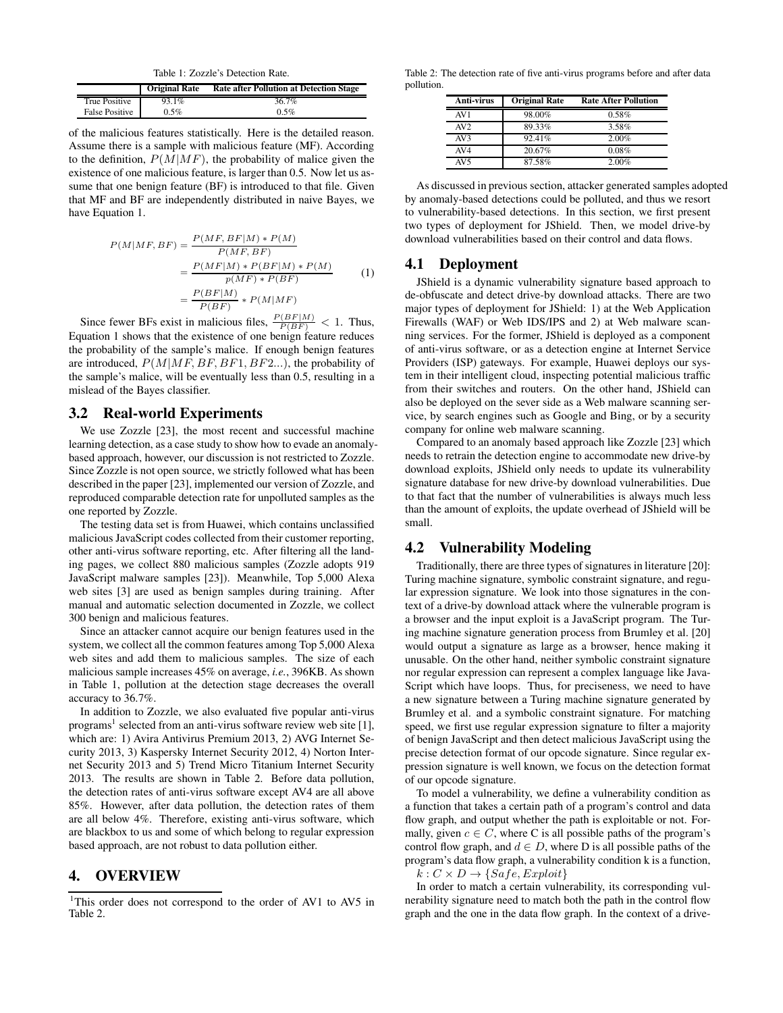Table 1: Zozzle's Detection Rate.

|                       | <b>Original Rate</b> | <b>Rate after Pollution at Detection Stage</b> |
|-----------------------|----------------------|------------------------------------------------|
| True Positive         | 93.1%                | 36.7%                                          |
| <b>False Positive</b> | 0.5%                 | 0.5%                                           |

of the malicious features statistically. Here is the detailed reason. Assume there is a sample with malicious feature (MF). According to the definition,  $P(M|MF)$ , the probability of malice given the existence of one malicious feature, is larger than 0.5. Now let us assume that one benign feature (BF) is introduced to that file. Given that MF and BF are independently distributed in naive Bayes, we have Equation 1.

$$
P(M|MF, BF) = \frac{P(MF, BF|M) * P(M)}{P(MF, BF)} = \frac{P(MF|M) * P(BF|M) * P(M)}{p(MF) * P(BF)}
$$
(1)  

$$
= \frac{P(BF|M)}{P(BF)} * P(M|MF)
$$

Since fewer BFs exist in malicious files,  $\frac{P(BF|M)}{P(BF)} < 1$ . Thus, Equation 1 shows that the existence of one benign feature reduces the probability of the sample's malice. If enough benign features are introduced,  $P(M|MF, BF, BF1, BF2...)$ , the probability of the sample's malice, will be eventually less than 0.5, resulting in a mislead of the Bayes classifier.

### 3.2 Real-world Experiments

We use Zozzle [23], the most recent and successful machine learning detection, as a case study to show how to evade an anomalybased approach, however, our discussion is not restricted to Zozzle. Since Zozzle is not open source, we strictly followed what has been described in the paper [23], implemented our version of Zozzle, and reproduced comparable detection rate for unpolluted samples as the one reported by Zozzle.

The testing data set is from Huawei, which contains unclassified malicious JavaScript codes collected from their customer reporting, other anti-virus software reporting, etc. After filtering all the landing pages, we collect 880 malicious samples (Zozzle adopts 919 JavaScript malware samples [23]). Meanwhile, Top 5,000 Alexa web sites [3] are used as benign samples during training. After manual and automatic selection documented in Zozzle, we collect 300 benign and malicious features.

Since an attacker cannot acquire our benign features used in the system, we collect all the common features among Top 5,000 Alexa web sites and add them to malicious samples. The size of each malicious sample increases 45% on average, *i.e.*, 396KB. As shown in Table 1, pollution at the detection stage decreases the overall accuracy to 36.7%.

In addition to Zozzle, we also evaluated five popular anti-virus programs<sup>1</sup> selected from an anti-virus software review web site [1], which are: 1) Avira Antivirus Premium 2013, 2) AVG Internet Security 2013, 3) Kaspersky Internet Security 2012, 4) Norton Internet Security 2013 and 5) Trend Micro Titanium Internet Security 2013. The results are shown in Table 2. Before data pollution, the detection rates of anti-virus software except AV4 are all above 85%. However, after data pollution, the detection rates of them are all below 4%. Therefore, existing anti-virus software, which are blackbox to us and some of which belong to regular expression based approach, are not robust to data pollution either.

#### 4. OVERVIEW

Table 2: The detection rate of five anti-virus programs before and after data pollution.

| Anti-virus      | <b>Original Rate</b> | <b>Rate After Pollution</b> |
|-----------------|----------------------|-----------------------------|
| AV <sub>1</sub> | 98.00%               | $0.58\%$                    |
| AV2             | 89.33%               | 3.58%                       |
| AV3             | 92.41%               | $2.00\%$                    |
| AV4             | 20.67%               | 0.08%                       |
| AV5             | 87.58%               | 2.00%                       |

As discussed in previous section, attacker generated samples adopted by anomaly-based detections could be polluted, and thus we resort to vulnerability-based detections. In this section, we first present two types of deployment for JShield. Then, we model drive-by download vulnerabilities based on their control and data flows.

#### 4.1 Deployment

JShield is a dynamic vulnerability signature based approach to de-obfuscate and detect drive-by download attacks. There are two major types of deployment for JShield: 1) at the Web Application Firewalls (WAF) or Web IDS/IPS and 2) at Web malware scanning services. For the former, JShield is deployed as a component of anti-virus software, or as a detection engine at Internet Service Providers (ISP) gateways. For example, Huawei deploys our system in their intelligent cloud, inspecting potential malicious traffic from their switches and routers. On the other hand, JShield can also be deployed on the sever side as a Web malware scanning service, by search engines such as Google and Bing, or by a security company for online web malware scanning.

Compared to an anomaly based approach like Zozzle [23] which needs to retrain the detection engine to accommodate new drive-by download exploits, JShield only needs to update its vulnerability signature database for new drive-by download vulnerabilities. Due to that fact that the number of vulnerabilities is always much less than the amount of exploits, the update overhead of JShield will be small.

### 4.2 Vulnerability Modeling

Traditionally, there are three types of signatures in literature [20]: Turing machine signature, symbolic constraint signature, and regular expression signature. We look into those signatures in the context of a drive-by download attack where the vulnerable program is a browser and the input exploit is a JavaScript program. The Turing machine signature generation process from Brumley et al. [20] would output a signature as large as a browser, hence making it unusable. On the other hand, neither symbolic constraint signature nor regular expression can represent a complex language like Java-Script which have loops. Thus, for preciseness, we need to have a new signature between a Turing machine signature generated by Brumley et al. and a symbolic constraint signature. For matching speed, we first use regular expression signature to filter a majority of benign JavaScript and then detect malicious JavaScript using the precise detection format of our opcode signature. Since regular expression signature is well known, we focus on the detection format of our opcode signature.

To model a vulnerability, we define a vulnerability condition as a function that takes a certain path of a program's control and data flow graph, and output whether the path is exploitable or not. Formally, given  $c \in C$ , where C is all possible paths of the program's control flow graph, and  $d \in D$ , where D is all possible paths of the program's data flow graph, a vulnerability condition k is a function,  $k: C \times D \rightarrow \{Safe, Exploit\}$ 

In order to match a certain vulnerability, its corresponding vulnerability signature need to match both the path in the control flow graph and the one in the data flow graph. In the context of a drive-

<sup>&</sup>lt;sup>1</sup>This order does not correspond to the order of AV1 to AV5 in Table 2.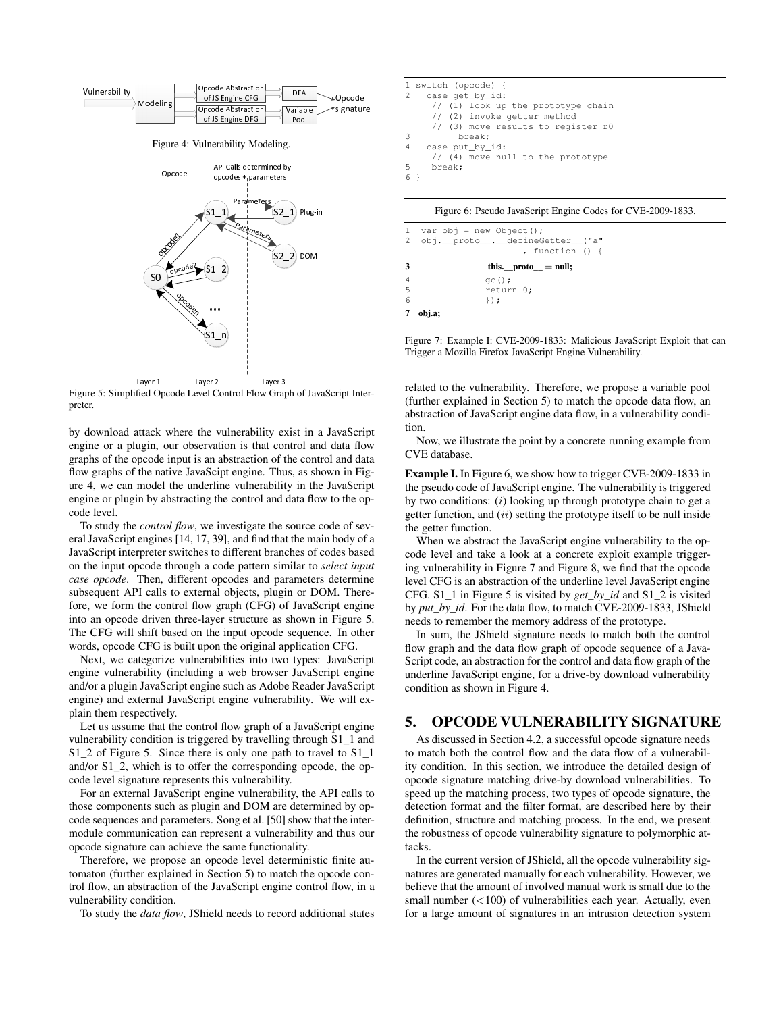

Figure 4: Vulnerability Modeling.



Figure 5: Simplified Opcode Level Control Flow Graph of JavaScript Interpreter.

by download attack where the vulnerability exist in a JavaScript engine or a plugin, our observation is that control and data flow graphs of the opcode input is an abstraction of the control and data flow graphs of the native JavaScipt engine. Thus, as shown in Figure 4, we can model the underline vulnerability in the JavaScript engine or plugin by abstracting the control and data flow to the opcode level.

To study the *control flow*, we investigate the source code of several JavaScript engines [14, 17, 39], and find that the main body of a JavaScript interpreter switches to different branches of codes based on the input opcode through a code pattern similar to *select input case opcode*. Then, different opcodes and parameters determine subsequent API calls to external objects, plugin or DOM. Therefore, we form the control flow graph (CFG) of JavaScript engine into an opcode driven three-layer structure as shown in Figure 5. The CFG will shift based on the input opcode sequence. In other words, opcode CFG is built upon the original application CFG.

Next, we categorize vulnerabilities into two types: JavaScript engine vulnerability (including a web browser JavaScript engine and/or a plugin JavaScript engine such as Adobe Reader JavaScript engine) and external JavaScript engine vulnerability. We will explain them respectively.

Let us assume that the control flow graph of a JavaScript engine vulnerability condition is triggered by travelling through S1\_1 and S1\_2 of Figure 5. Since there is only one path to travel to S1\_1 and/or S1\_2, which is to offer the corresponding opcode, the opcode level signature represents this vulnerability.

For an external JavaScript engine vulnerability, the API calls to those components such as plugin and DOM are determined by opcode sequences and parameters. Song et al. [50] show that the intermodule communication can represent a vulnerability and thus our opcode signature can achieve the same functionality.

Therefore, we propose an opcode level deterministic finite automaton (further explained in Section 5) to match the opcode control flow, an abstraction of the JavaScript engine control flow, in a vulnerability condition.

To study the *data flow*, JShield needs to record additional states

|     | 1 switch (opcode) {                                         |
|-----|-------------------------------------------------------------|
| 2   | case get by id:                                             |
|     | $//$ (1) look up the prototype chain                        |
|     | // (2) invoke getter method                                 |
|     | // (3) move results to register r0                          |
| 3   | break;                                                      |
| 4   | case put by id:                                             |
|     | // (4) move null to the prototype                           |
| 5.  | break:                                                      |
| 6 } |                                                             |
|     |                                                             |
|     |                                                             |
|     | Figure 6: Pseudo JavaScript Engine Codes for CVE-2009-1833. |
|     |                                                             |

|  |  | ar obi = new Obiect (): |  |  |  |  |  |
|--|--|-------------------------|--|--|--|--|--|

|                | $\pm$ $\sqrt{2}$ $\sqrt{2}$ $\sqrt{2}$ $\sqrt{2}$ $\sqrt{2}$ $\sqrt{2}$ $\sqrt{2}$ $\sqrt{2}$ $\sqrt{2}$ $\sqrt{2}$ $\sqrt{2}$ $\sqrt{2}$ $\sqrt{2}$ $\sqrt{2}$ $\sqrt{2}$ $\sqrt{2}$ $\sqrt{2}$ $\sqrt{2}$ $\sqrt{2}$ $\sqrt{2}$ $\sqrt{2}$ $\sqrt{2}$ $\sqrt{2}$ $\sqrt{2}$ $\sqrt{2}$ $\sqrt{2}$ $\sqrt{2}$ |  |
|----------------|----------------------------------------------------------------------------------------------------------------------------------------------------------------------------------------------------------------------------------------------------------------------------------------------------------------|--|
|                | 2 obj. proto __. defineGetter __ ("a"                                                                                                                                                                                                                                                                          |  |
|                | , function $() \{$                                                                                                                                                                                                                                                                                             |  |
| 3              | this. $proto$ = null;                                                                                                                                                                                                                                                                                          |  |
| $\overline{4}$ | $q_{\rm C}$ ( ) ;                                                                                                                                                                                                                                                                                              |  |
| 5              | return 0;                                                                                                                                                                                                                                                                                                      |  |
| 6              | $\vert \cdot \rangle$ :                                                                                                                                                                                                                                                                                        |  |
| 7              | obj.a;                                                                                                                                                                                                                                                                                                         |  |

Figure 7: Example I: CVE-2009-1833: Malicious JavaScript Exploit that can Trigger a Mozilla Firefox JavaScript Engine Vulnerability.

related to the vulnerability. Therefore, we propose a variable pool (further explained in Section 5) to match the opcode data flow, an abstraction of JavaScript engine data flow, in a vulnerability condition.

Now, we illustrate the point by a concrete running example from CVE database.

Example I. In Figure 6, we show how to trigger CVE-2009-1833 in the pseudo code of JavaScript engine. The vulnerability is triggered by two conditions: (i) looking up through prototype chain to get a getter function, and  $(ii)$  setting the prototype itself to be null inside the getter function.

When we abstract the JavaScript engine vulnerability to the opcode level and take a look at a concrete exploit example triggering vulnerability in Figure 7 and Figure 8, we find that the opcode level CFG is an abstraction of the underline level JavaScript engine CFG. S1\_1 in Figure 5 is visited by *get\_by\_id* and S1\_2 is visited by *put\_by\_id*. For the data flow, to match CVE-2009-1833, JShield needs to remember the memory address of the prototype.

In sum, the JShield signature needs to match both the control flow graph and the data flow graph of opcode sequence of a Java-Script code, an abstraction for the control and data flow graph of the underline JavaScript engine, for a drive-by download vulnerability condition as shown in Figure 4.

#### 5. OPCODE VULNERABILITY SIGNATURE

As discussed in Section 4.2, a successful opcode signature needs to match both the control flow and the data flow of a vulnerability condition. In this section, we introduce the detailed design of opcode signature matching drive-by download vulnerabilities. To speed up the matching process, two types of opcode signature, the detection format and the filter format, are described here by their definition, structure and matching process. In the end, we present the robustness of opcode vulnerability signature to polymorphic attacks.

In the current version of JShield, all the opcode vulnerability signatures are generated manually for each vulnerability. However, we believe that the amount of involved manual work is small due to the small number  $(<100$ ) of vulnerabilities each year. Actually, even for a large amount of signatures in an intrusion detection system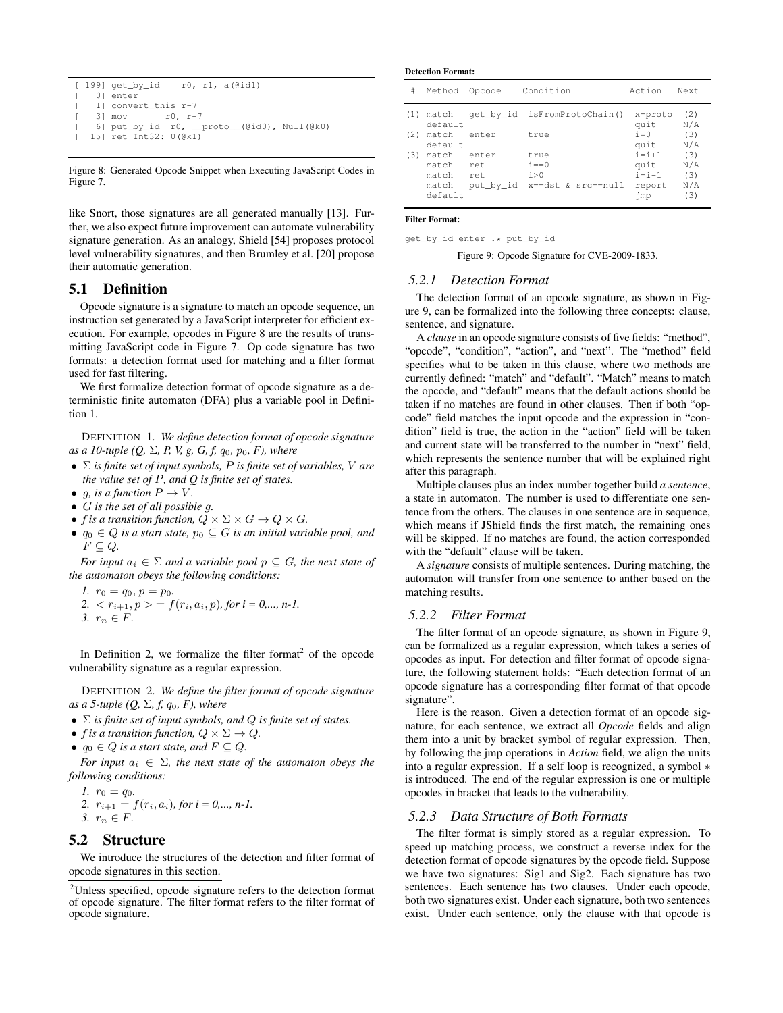```
199] get_by_id r0, r1, a(ીid1)
   01 enter
   11 convert this r-7[ 3] mov r0, r-7
[ 6] put_by_id r0, __proto__(@id0), Null(@k0)
[ 15] ret Int32: 0(@k1)
```
Figure 8: Generated Opcode Snippet when Executing JavaScript Codes in Figure 7.

like Snort, those signatures are all generated manually [13]. Further, we also expect future improvement can automate vulnerability signature generation. As an analogy, Shield [54] proposes protocol level vulnerability signatures, and then Brumley et al. [20] propose their automatic generation.

#### 5.1 Definition

Opcode signature is a signature to match an opcode sequence, an instruction set generated by a JavaScript interpreter for efficient execution. For example, opcodes in Figure 8 are the results of transmitting JavaScript code in Figure 7. Op code signature has two formats: a detection format used for matching and a filter format used for fast filtering.

We first formalize detection format of opcode signature as a deterministic finite automaton (DFA) plus a variable pool in Definition 1.

DEFINITION 1. *We define detection format of opcode signature as a 10-tuple (Q,*  $\Sigma$ *, P, V, g, G, f, q<sub>0</sub>, p<sub>0</sub>, F), where* 

- Σ *is finite set of input symbols,* P *is finite set of variables,* V *are the value set of* P*, and Q is finite set of states.*
- *q, is a function*  $P \to V$ *.*
- G *is the set of all possible* g*.*
- *f is a transition function,*  $Q \times \Sigma \times G \rightarrow Q \times G$ .
- $q_0 \in Q$  *is a start state,*  $p_0 \subseteq G$  *is an initial variable pool, and*  $F \subseteq Q$ .

*For input*  $a_i \in \Sigma$  *and a variable pool*  $p \subseteq G$ *, the next state of the automaton obeys the following conditions:*

- *1.*  $r_0 = q_0, p = p_0$ .
- 2.  $\langle r_{i+1}, p \rangle = f(r_i, a_i, p)$ , for  $i = 0, ..., n-1$ .

*3.*  $r_n \in F$ .

In Definition 2, we formalize the filter format<sup>2</sup> of the opcode vulnerability signature as a regular expression.

DEFINITION 2. *We define the filter format of opcode signature as a 5-tuple (Q,*  $\Sigma$ *, f, q<sub>0</sub>, F), where* 

- Σ *is finite set of input symbols, and* Q *is finite set of states.*
- *f is a transition function,*  $Q \times \Sigma \rightarrow Q$ .
- $q_0 \in Q$  *is a start state, and*  $F \subseteq Q$ *.*

*For input*  $a_i \in \Sigma$ *, the next state of the automaton obeys the following conditions:*

*1.*  $r_0 = q_0$ . 2.  $r_{i+1} = f(r_i, a_i)$ , for  $i = 0, ..., n-1$ . *3.*  $r_n \in F$ .

#### 5.2 Structure

We introduce the structures of the detection and filter format of opcode signatures in this section.

| #          | Method                                                 | Opcode                           | Condition                                             | Action                                                      | Next                                   |
|------------|--------------------------------------------------------|----------------------------------|-------------------------------------------------------|-------------------------------------------------------------|----------------------------------------|
| (1)<br>(2) | match<br>default<br>match                              | qet_by_id<br>enter               | isFromProtoChain()<br>true                            | x=proto<br>quit<br>$i = 0$                                  | (2)<br>N/A<br>(3)                      |
| (3)        | default<br>match<br>match<br>match<br>match<br>default | enter<br>ret<br>ret<br>put by id | true<br>$i == 0$<br>i > 0<br>$x = -dst & src = -null$ | quit<br>$i = i + 1$<br>quit<br>$i = i - 1$<br>report<br>jmp | N/A<br>(3)<br>N/A<br>(3)<br>N/A<br>(3) |

#### Filter Format:

get\_by\_id enter .\* put\_by\_id

Figure 9: Opcode Signature for CVE-2009-1833.

#### *5.2.1 Detection Format*

The detection format of an opcode signature, as shown in Figure 9, can be formalized into the following three concepts: clause, sentence, and signature.

A *clause* in an opcode signature consists of five fields: "method", "opcode", "condition", "action", and "next". The "method" field specifies what to be taken in this clause, where two methods are currently defined: "match" and "default". "Match" means to match the opcode, and "default" means that the default actions should be taken if no matches are found in other clauses. Then if both "opcode" field matches the input opcode and the expression in "condition" field is true, the action in the "action" field will be taken and current state will be transferred to the number in "next" field, which represents the sentence number that will be explained right after this paragraph.

Multiple clauses plus an index number together build *a sentence*, a state in automaton. The number is used to differentiate one sentence from the others. The clauses in one sentence are in sequence, which means if JShield finds the first match, the remaining ones will be skipped. If no matches are found, the action corresponded with the "default" clause will be taken.

A *signature* consists of multiple sentences. During matching, the automaton will transfer from one sentence to anther based on the matching results.

#### *5.2.2 Filter Format*

The filter format of an opcode signature, as shown in Figure 9, can be formalized as a regular expression, which takes a series of opcodes as input. For detection and filter format of opcode signature, the following statement holds: "Each detection format of an opcode signature has a corresponding filter format of that opcode signature".

Here is the reason. Given a detection format of an opcode signature, for each sentence, we extract all *Opcode* fields and align them into a unit by bracket symbol of regular expression. Then, by following the jmp operations in *Action* field, we align the units into a regular expression. If a self loop is recognized, a symbol ∗ is introduced. The end of the regular expression is one or multiple opcodes in bracket that leads to the vulnerability.

#### *5.2.3 Data Structure of Both Formats*

The filter format is simply stored as a regular expression. To speed up matching process, we construct a reverse index for the detection format of opcode signatures by the opcode field. Suppose we have two signatures: Sig1 and Sig2. Each signature has two sentences. Each sentence has two clauses. Under each opcode, both two signatures exist. Under each signature, both two sentences exist. Under each sentence, only the clause with that opcode is

<sup>2</sup>Unless specified, opcode signature refers to the detection format of opcode signature. The filter format refers to the filter format of opcode signature.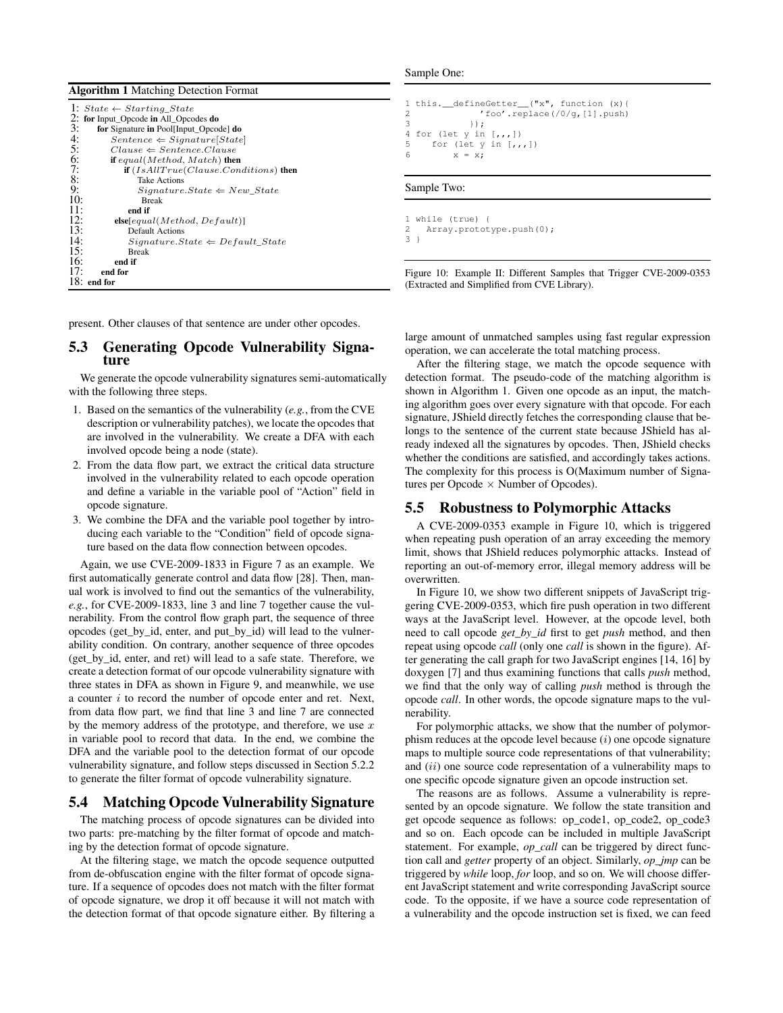| <b>Algorithm 1 Matching Detection Format</b> |  |  |  |  |
|----------------------------------------------|--|--|--|--|
|----------------------------------------------|--|--|--|--|

| 1: $State \leftarrow Starting\_State$                 |
|-------------------------------------------------------|
| 2: for Input_Opcode in All_Opcodes do                 |
| 3:<br>for Signature in Pool[Input Opcode] do          |
| 4:<br>$Sentence \Leftarrow Signature[State]$          |
| 5:<br>$Clause \Leftarrow Sentence.Clause$             |
| 6:<br>if equal(Method, Match) then                    |
| 7:<br><b>if</b> $(IsAllTrue(Clause. Conditions)$ then |
| 8:<br><b>Take Actions</b>                             |
| 9:<br>$Signature State \Leftarrow New State$          |
| 10:<br><b>Break</b>                                   |
| 11:<br>end if                                         |
| 12:<br>else[equal(Method, Default)]                   |
| 13:<br>Default Actions                                |
| 14:<br>$Signature State \leftarrow Default\_State$    |
| 15:<br><b>Break</b>                                   |
| 16:<br>end if                                         |
| 17:<br>end for                                        |
| $18:$ end for                                         |

#### Sample One:

```
1 this.__defineGetter__("x", function (x){
2 'foo'.replace\left(\frac{\sqrt{0}}{g}, [1].push\right)3 });<br>4 for (let y in
  for (let y in [,,,])
5 for (let y in [,,,])
6 x = x;
```
Sample Two:

```
1 while (true) {
    Array.prototype.push(0);
3<sub>1</sub>
```
Figure 10: Example II: Different Samples that Trigger CVE-2009-0353 (Extracted and Simplified from CVE Library).

present. Other clauses of that sentence are under other opcodes.

#### 5.3 Generating Opcode Vulnerability Signature

We generate the opcode vulnerability signatures semi-automatically with the following three steps.

- 1. Based on the semantics of the vulnerability (*e.g.*, from the CVE description or vulnerability patches), we locate the opcodes that are involved in the vulnerability. We create a DFA with each involved opcode being a node (state).
- 2. From the data flow part, we extract the critical data structure involved in the vulnerability related to each opcode operation and define a variable in the variable pool of "Action" field in opcode signature.
- 3. We combine the DFA and the variable pool together by introducing each variable to the "Condition" field of opcode signature based on the data flow connection between opcodes.

Again, we use CVE-2009-1833 in Figure 7 as an example. We first automatically generate control and data flow [28]. Then, manual work is involved to find out the semantics of the vulnerability, *e.g.*, for CVE-2009-1833, line 3 and line 7 together cause the vulnerability. From the control flow graph part, the sequence of three opcodes (get\_by\_id, enter, and put\_by\_id) will lead to the vulnerability condition. On contrary, another sequence of three opcodes (get\_by\_id, enter, and ret) will lead to a safe state. Therefore, we create a detection format of our opcode vulnerability signature with three states in DFA as shown in Figure 9, and meanwhile, we use a counter  $i$  to record the number of opcode enter and ret. Next, from data flow part, we find that line 3 and line 7 are connected by the memory address of the prototype, and therefore, we use  $x$ in variable pool to record that data. In the end, we combine the DFA and the variable pool to the detection format of our opcode vulnerability signature, and follow steps discussed in Section 5.2.2 to generate the filter format of opcode vulnerability signature.

### 5.4 Matching Opcode Vulnerability Signature

The matching process of opcode signatures can be divided into two parts: pre-matching by the filter format of opcode and matching by the detection format of opcode signature.

At the filtering stage, we match the opcode sequence outputted from de-obfuscation engine with the filter format of opcode signature. If a sequence of opcodes does not match with the filter format of opcode signature, we drop it off because it will not match with the detection format of that opcode signature either. By filtering a large amount of unmatched samples using fast regular expression operation, we can accelerate the total matching process.

After the filtering stage, we match the opcode sequence with detection format. The pseudo-code of the matching algorithm is shown in Algorithm 1. Given one opcode as an input, the matching algorithm goes over every signature with that opcode. For each signature, JShield directly fetches the corresponding clause that belongs to the sentence of the current state because JShield has already indexed all the signatures by opcodes. Then, JShield checks whether the conditions are satisfied, and accordingly takes actions. The complexity for this process is O(Maximum number of Signatures per Opcode  $\times$  Number of Opcodes).

#### 5.5 Robustness to Polymorphic Attacks

A CVE-2009-0353 example in Figure 10, which is triggered when repeating push operation of an array exceeding the memory limit, shows that JShield reduces polymorphic attacks. Instead of reporting an out-of-memory error, illegal memory address will be overwritten.

In Figure 10, we show two different snippets of JavaScript triggering CVE-2009-0353, which fire push operation in two different ways at the JavaScript level. However, at the opcode level, both need to call opcode *get\_by\_id* first to get *push* method, and then repeat using opcode *call* (only one *call* is shown in the figure). After generating the call graph for two JavaScript engines [14, 16] by doxygen [7] and thus examining functions that calls *push* method, we find that the only way of calling *push* method is through the opcode *call*. In other words, the opcode signature maps to the vulnerability.

For polymorphic attacks, we show that the number of polymorphism reduces at the opcode level because  $(i)$  one opcode signature maps to multiple source code representations of that vulnerability; and *(ii)* one source code representation of a vulnerability maps to one specific opcode signature given an opcode instruction set.

The reasons are as follows. Assume a vulnerability is represented by an opcode signature. We follow the state transition and get opcode sequence as follows: op\_code1, op\_code2, op\_code3 and so on. Each opcode can be included in multiple JavaScript statement. For example, *op\_call* can be triggered by direct function call and *getter* property of an object. Similarly, *op\_jmp* can be triggered by *while* loop, *for* loop, and so on. We will choose different JavaScript statement and write corresponding JavaScript source code. To the opposite, if we have a source code representation of a vulnerability and the opcode instruction set is fixed, we can feed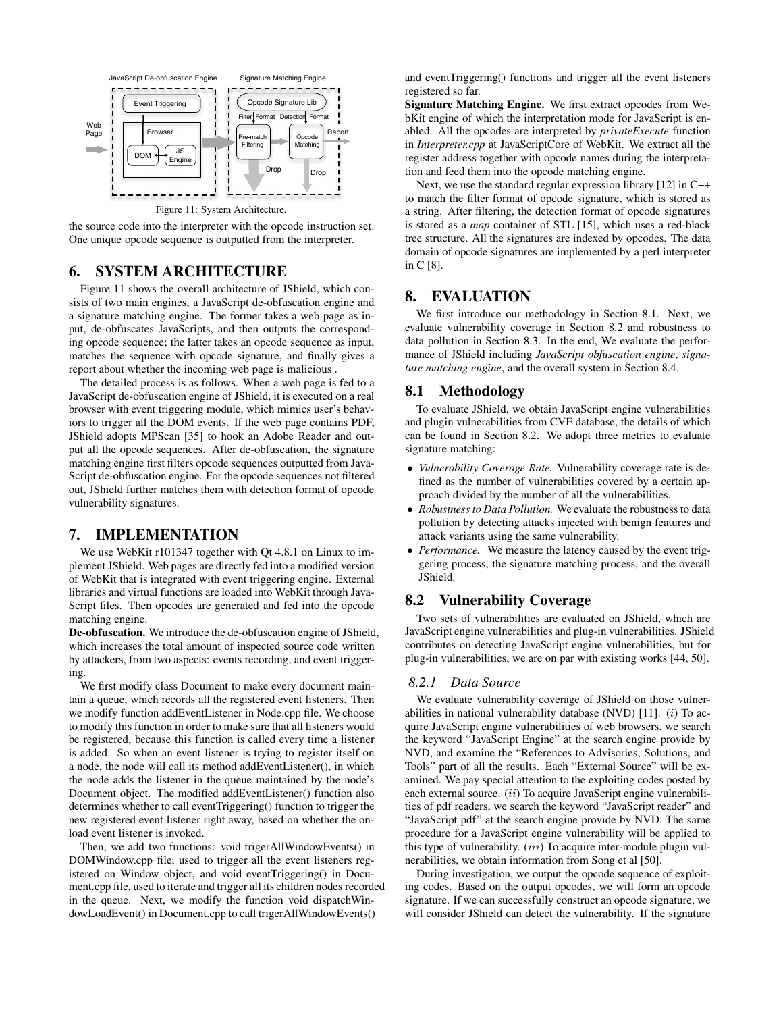

the source code into the interpreter with the opcode instruction set. One unique opcode sequence is outputted from the interpreter.

### 6. SYSTEM ARCHITECTURE

Figure 11 shows the overall architecture of JShield, which consists of two main engines, a JavaScript de-obfuscation engine and a signature matching engine. The former takes a web page as input, de-obfuscates JavaScripts, and then outputs the corresponding opcode sequence; the latter takes an opcode sequence as input, matches the sequence with opcode signature, and finally gives a report about whether the incoming web page is malicious .

The detailed process is as follows. When a web page is fed to a JavaScript de-obfuscation engine of JShield, it is executed on a real browser with event triggering module, which mimics user's behaviors to trigger all the DOM events. If the web page contains PDF, JShield adopts MPScan [35] to hook an Adobe Reader and output all the opcode sequences. After de-obfuscation, the signature matching engine first filters opcode sequences outputted from Java-Script de-obfuscation engine. For the opcode sequences not filtered out, JShield further matches them with detection format of opcode vulnerability signatures.

### 7. IMPLEMENTATION

We use WebKit r101347 together with Qt 4.8.1 on Linux to implement JShield. Web pages are directly fed into a modified version of WebKit that is integrated with event triggering engine. External libraries and virtual functions are loaded into WebKit through Java-Script files. Then opcodes are generated and fed into the opcode matching engine.

De-obfuscation. We introduce the de-obfuscation engine of JShield, which increases the total amount of inspected source code written by attackers, from two aspects: events recording, and event triggering.

We first modify class Document to make every document maintain a queue, which records all the registered event listeners. Then we modify function addEventListener in Node.cpp file. We choose to modify this function in order to make sure that all listeners would be registered, because this function is called every time a listener is added. So when an event listener is trying to register itself on a node, the node will call its method addEventListener(), in which the node adds the listener in the queue maintained by the node's Document object. The modified addEventListener() function also determines whether to call eventTriggering() function to trigger the new registered event listener right away, based on whether the onload event listener is invoked.

Then, we add two functions: void trigerAllWindowEvents() in DOMWindow.cpp file, used to trigger all the event listeners registered on Window object, and void eventTriggering() in Document.cpp file, used to iterate and trigger all its children nodes recorded in the queue. Next, we modify the function void dispatchWindowLoadEvent() in Document.cpp to call trigerAllWindowEvents()

and eventTriggering() functions and trigger all the event listeners registered so far.

Signature Matching Engine. We first extract opcodes from WebKit engine of which the interpretation mode for JavaScript is enabled. All the opcodes are interpreted by *privateExecute* function in *Interpreter.cpp* at JavaScriptCore of WebKit. We extract all the register address together with opcode names during the interpretation and feed them into the opcode matching engine.

Next, we use the standard regular expression library [12] in C++ to match the filter format of opcode signature, which is stored as a string. After filtering, the detection format of opcode signatures is stored as a *map* container of STL [15], which uses a red-black tree structure. All the signatures are indexed by opcodes. The data domain of opcode signatures are implemented by a perl interpreter in C [8].

### 8. EVALUATION

We first introduce our methodology in Section 8.1. Next, we evaluate vulnerability coverage in Section 8.2 and robustness to data pollution in Section 8.3. In the end, We evaluate the performance of JShield including *JavaScript obfuscation engine*, *signature matching engine*, and the overall system in Section 8.4.

#### 8.1 Methodology

To evaluate JShield, we obtain JavaScript engine vulnerabilities and plugin vulnerabilities from CVE database, the details of which can be found in Section 8.2. We adopt three metrics to evaluate signature matching:

- *Vulnerability Coverage Rate.* Vulnerability coverage rate is defined as the number of vulnerabilities covered by a certain approach divided by the number of all the vulnerabilities.
- *Robustness to Data Pollution.* We evaluate the robustness to data pollution by detecting attacks injected with benign features and attack variants using the same vulnerability.
- *Performance.* We measure the latency caused by the event triggering process, the signature matching process, and the overall JShield.

#### 8.2 Vulnerability Coverage

Two sets of vulnerabilities are evaluated on JShield, which are JavaScript engine vulnerabilities and plug-in vulnerabilities. JShield contributes on detecting JavaScript engine vulnerabilities, but for plug-in vulnerabilities, we are on par with existing works [44, 50].

### *8.2.1 Data Source*

We evaluate vulnerability coverage of JShield on those vulnerabilities in national vulnerability database (NVD) [11].  $(i)$  To acquire JavaScript engine vulnerabilities of web browsers, we search the keyword "JavaScript Engine" at the search engine provide by NVD, and examine the "References to Advisories, Solutions, and Tools" part of all the results. Each "External Source" will be examined. We pay special attention to the exploiting codes posted by each external source.  $(ii)$  To acquire JavaScript engine vulnerabilities of pdf readers, we search the keyword "JavaScript reader" and "JavaScript pdf" at the search engine provide by NVD. The same procedure for a JavaScript engine vulnerability will be applied to this type of vulnerability.  $(iii)$  To acquire inter-module plugin vulnerabilities, we obtain information from Song et al [50].

During investigation, we output the opcode sequence of exploiting codes. Based on the output opcodes, we will form an opcode signature. If we can successfully construct an opcode signature, we will consider JShield can detect the vulnerability. If the signature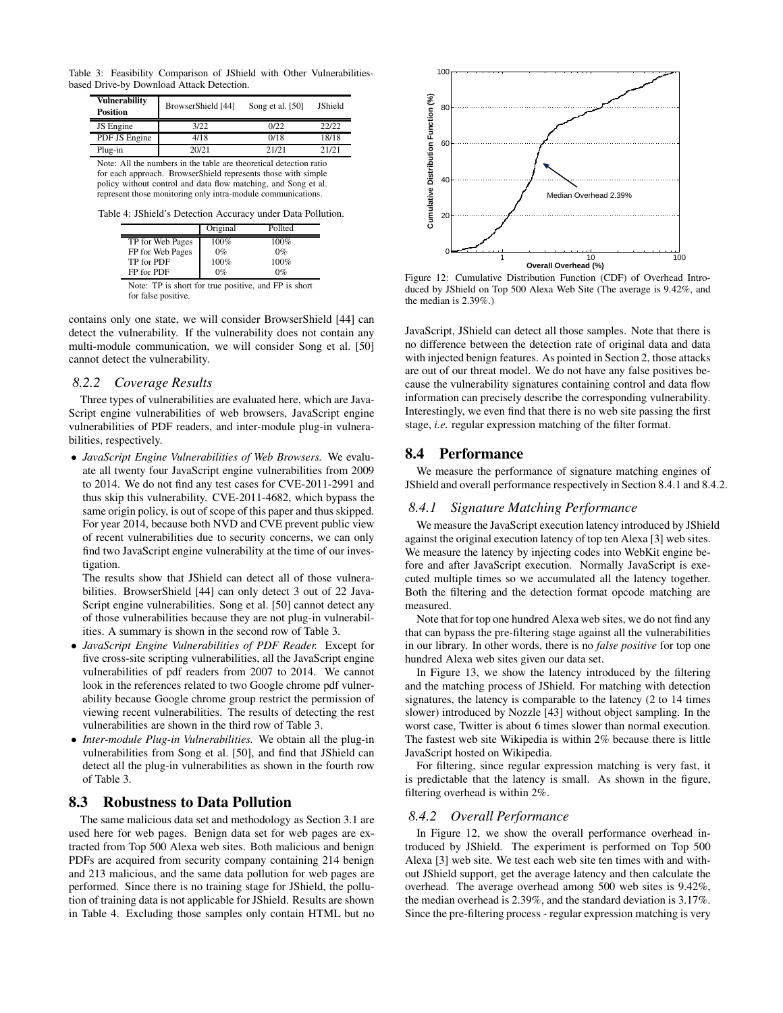Table 3: Feasibility Comparison of JShield with Other Vulnerabilitiesbased Drive-by Download Attack Detection.

| <b>Vulnerability</b><br><b>Position</b> | BrowserShield [44] | Song et al. [50] | JShield |
|-----------------------------------------|--------------------|------------------|---------|
| JS Engine                               | 3/22               | 0/22             | 22/22   |
| PDF JS Engine                           | 4/18               | 0/18             | 18/18   |
| Plug-in                                 | 20/21              | 21/21            | 21/21   |

Note: All the numbers in the table are theoretical detection ratio for each approach. BrowserShield represents those with simple policy without control and data flow matching, and Song et al. represent those monitoring only intra-module communications.

Table 4: JShield's Detection Accuracy under Data Pollution.

|                  | Original | Pollted |
|------------------|----------|---------|
| TP for Web Pages | 100%     | 100%    |
| FP for Web Pages | $0\%$    | $0\%$   |
| TP for PDF       | 100%     | 100%    |
| FP for PDF       | $0\%$    | $0\%$   |

Note: TP is short for true positive, and FP is short for false positive.

contains only one state, we will consider BrowserShield [44] can detect the vulnerability. If the vulnerability does not contain any multi-module communication, we will consider Song et al. [50] cannot detect the vulnerability.

#### *8.2.2 Coverage Results*

Three types of vulnerabilities are evaluated here, which are Java-Script engine vulnerabilities of web browsers, JavaScript engine vulnerabilities of PDF readers, and inter-module plug-in vulnerabilities, respectively.

• *JavaScript Engine Vulnerabilities of Web Browsers.* We evaluate all twenty four JavaScript engine vulnerabilities from 2009 to 2014. We do not find any test cases for CVE-2011-2991 and thus skip this vulnerability. CVE-2011-4682, which bypass the same origin policy, is out of scope of this paper and thus skipped. For year 2014, because both NVD and CVE prevent public view of recent vulnerabilities due to security concerns, we can only find two JavaScript engine vulnerability at the time of our investigation.

The results show that JShield can detect all of those vulnerabilities. BrowserShield [44] can only detect 3 out of 22 Java-Script engine vulnerabilities. Song et al. [50] cannot detect any of those vulnerabilities because they are not plug-in vulnerabilities. A summary is shown in the second row of Table 3.

- *JavaScript Engine Vulnerabilities of PDF Reader.* Except for five cross-site scripting vulnerabilities, all the JavaScript engine vulnerabilities of pdf readers from 2007 to 2014. We cannot look in the references related to two Google chrome pdf vulnerability because Google chrome group restrict the permission of viewing recent vulnerabilities. The results of detecting the rest vulnerabilities are shown in the third row of Table 3.
- *Inter-module Plug-in Vulnerabilities.* We obtain all the plug-in vulnerabilities from Song et al. [50], and find that JShield can detect all the plug-in vulnerabilities as shown in the fourth row of Table 3.

### 8.3 Robustness to Data Pollution

The same malicious data set and methodology as Section 3.1 are used here for web pages. Benign data set for web pages are extracted from Top 500 Alexa web sites. Both malicious and benign PDFs are acquired from security company containing 214 benign and 213 malicious, and the same data pollution for web pages are performed. Since there is no training stage for JShield, the pollution of training data is not applicable for JShield. Results are shown in Table 4. Excluding those samples only contain HTML but no



Figure 12: Cumulative Distribution Function (CDF) of Overhead Introduced by JShield on Top 500 Alexa Web Site (The average is 9.42%, and the median is 2.39%.)

JavaScript, JShield can detect all those samples. Note that there is no difference between the detection rate of original data and data with injected benign features. As pointed in Section 2, those attacks are out of our threat model. We do not have any false positives because the vulnerability signatures containing control and data flow information can precisely describe the corresponding vulnerability. Interestingly, we even find that there is no web site passing the first stage, *i.e.* regular expression matching of the filter format.

### 8.4 Performance

We measure the performance of signature matching engines of JShield and overall performance respectively in Section 8.4.1 and 8.4.2.

#### *8.4.1 Signature Matching Performance*

We measure the JavaScript execution latency introduced by JShield against the original execution latency of top ten Alexa [3] web sites. We measure the latency by injecting codes into WebKit engine before and after JavaScript execution. Normally JavaScript is executed multiple times so we accumulated all the latency together. Both the filtering and the detection format opcode matching are measured.

Note that for top one hundred Alexa web sites, we do not find any that can bypass the pre-filtering stage against all the vulnerabilities in our library. In other words, there is no *false positive* for top one hundred Alexa web sites given our data set.

In Figure 13, we show the latency introduced by the filtering and the matching process of JShield. For matching with detection signatures, the latency is comparable to the latency (2 to 14 times slower) introduced by Nozzle [43] without object sampling. In the worst case, Twitter is about 6 times slower than normal execution. The fastest web site Wikipedia is within 2% because there is little JavaScript hosted on Wikipedia.

For filtering, since regular expression matching is very fast, it is predictable that the latency is small. As shown in the figure, filtering overhead is within 2%.

#### *8.4.2 Overall Performance*

In Figure 12, we show the overall performance overhead introduced by JShield. The experiment is performed on Top 500 Alexa [3] web site. We test each web site ten times with and without JShield support, get the average latency and then calculate the overhead. The average overhead among 500 web sites is 9.42%, the median overhead is 2.39%, and the standard deviation is 3.17%. Since the pre-filtering process - regular expression matching is very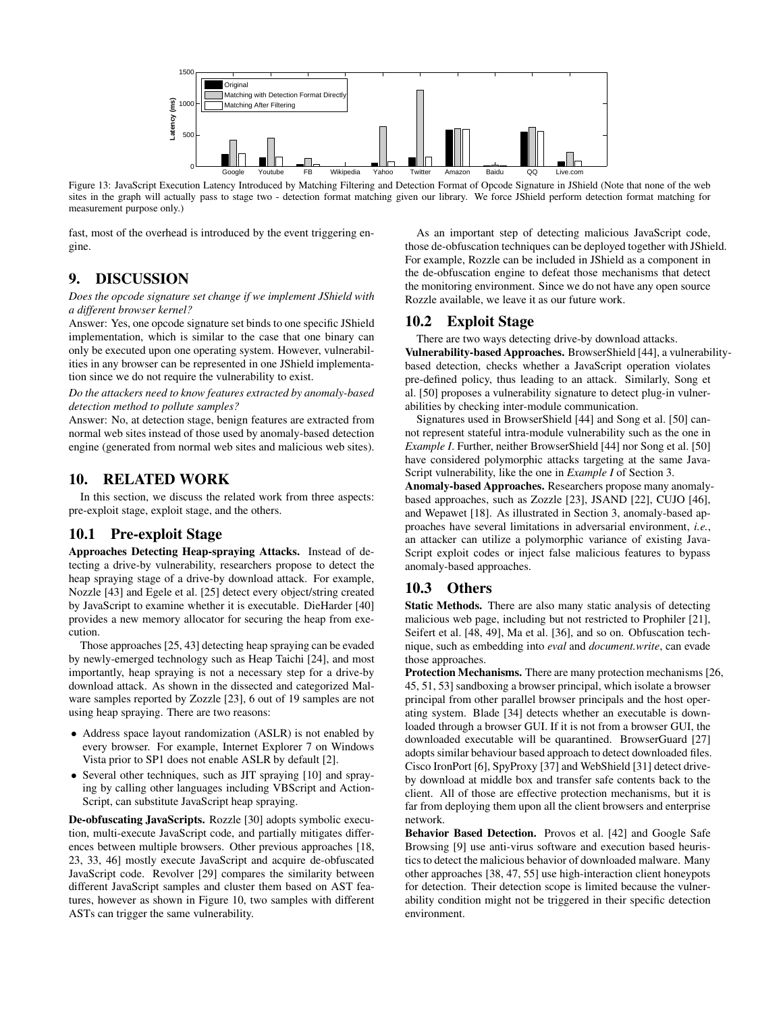

Figure 13: JavaScript Execution Latency Introduced by Matching Filtering and Detection Format of Opcode Signature in JShield (Note that none of the web sites in the graph will actually pass to stage two - detection format matching given our library. We force JShield perform detection format matching for measurement purpose only.)

fast, most of the overhead is introduced by the event triggering engine.

### 9. DISCUSSION

*Does the opcode signature set change if we implement JShield with a different browser kernel?*

Answer: Yes, one opcode signature set binds to one specific JShield implementation, which is similar to the case that one binary can only be executed upon one operating system. However, vulnerabilities in any browser can be represented in one JShield implementation since we do not require the vulnerability to exist.

*Do the attackers need to know features extracted by anomaly-based detection method to pollute samples?*

Answer: No, at detection stage, benign features are extracted from normal web sites instead of those used by anomaly-based detection engine (generated from normal web sites and malicious web sites).

### 10. RELATED WORK

In this section, we discuss the related work from three aspects: pre-exploit stage, exploit stage, and the others.

### 10.1 Pre-exploit Stage

Approaches Detecting Heap-spraying Attacks. Instead of detecting a drive-by vulnerability, researchers propose to detect the heap spraying stage of a drive-by download attack. For example, Nozzle [43] and Egele et al. [25] detect every object/string created by JavaScript to examine whether it is executable. DieHarder [40] provides a new memory allocator for securing the heap from execution.

Those approaches [25, 43] detecting heap spraying can be evaded by newly-emerged technology such as Heap Taichi [24], and most importantly, heap spraying is not a necessary step for a drive-by download attack. As shown in the dissected and categorized Malware samples reported by Zozzle [23], 6 out of 19 samples are not using heap spraying. There are two reasons:

- Address space layout randomization (ASLR) is not enabled by every browser. For example, Internet Explorer 7 on Windows Vista prior to SP1 does not enable ASLR by default [2].
- Several other techniques, such as JIT spraying [10] and spraying by calling other languages including VBScript and Action-Script, can substitute JavaScript heap spraying.

De-obfuscating JavaScripts. Rozzle [30] adopts symbolic execution, multi-execute JavaScript code, and partially mitigates differences between multiple browsers. Other previous approaches [18, 23, 33, 46] mostly execute JavaScript and acquire de-obfuscated JavaScript code. Revolver [29] compares the similarity between different JavaScript samples and cluster them based on AST features, however as shown in Figure 10, two samples with different ASTs can trigger the same vulnerability.

As an important step of detecting malicious JavaScript code, those de-obfuscation techniques can be deployed together with JShield. For example, Rozzle can be included in JShield as a component in the de-obfuscation engine to defeat those mechanisms that detect the monitoring environment. Since we do not have any open source Rozzle available, we leave it as our future work.

### 10.2 Exploit Stage

There are two ways detecting drive-by download attacks. Vulnerability-based Approaches. BrowserShield [44], a vulnerabilitybased detection, checks whether a JavaScript operation violates pre-defined policy, thus leading to an attack. Similarly, Song et al. [50] proposes a vulnerability signature to detect plug-in vulnerabilities by checking inter-module communication.

Signatures used in BrowserShield [44] and Song et al. [50] cannot represent stateful intra-module vulnerability such as the one in *Example I*. Further, neither BrowserShield [44] nor Song et al. [50] have considered polymorphic attacks targeting at the same Java-Script vulnerability, like the one in *Example I* of Section 3.

Anomaly-based Approaches. Researchers propose many anomalybased approaches, such as Zozzle [23], JSAND [22], CUJO [46], and Wepawet [18]. As illustrated in Section 3, anomaly-based approaches have several limitations in adversarial environment, *i.e.*, an attacker can utilize a polymorphic variance of existing Java-Script exploit codes or inject false malicious features to bypass anomaly-based approaches.

### 10.3 Others

Static Methods. There are also many static analysis of detecting malicious web page, including but not restricted to Prophiler [21], Seifert et al. [48, 49], Ma et al. [36], and so on. Obfuscation technique, such as embedding into *eval* and *document.write*, can evade those approaches.

Protection Mechanisms. There are many protection mechanisms [26, 45, 51, 53] sandboxing a browser principal, which isolate a browser principal from other parallel browser principals and the host operating system. Blade [34] detects whether an executable is downloaded through a browser GUI. If it is not from a browser GUI, the downloaded executable will be quarantined. BrowserGuard [27] adopts similar behaviour based approach to detect downloaded files. Cisco IronPort [6], SpyProxy [37] and WebShield [31] detect driveby download at middle box and transfer safe contents back to the client. All of those are effective protection mechanisms, but it is far from deploying them upon all the client browsers and enterprise network.

Behavior Based Detection. Provos et al. [42] and Google Safe Browsing [9] use anti-virus software and execution based heuristics to detect the malicious behavior of downloaded malware. Many other approaches [38, 47, 55] use high-interaction client honeypots for detection. Their detection scope is limited because the vulnerability condition might not be triggered in their specific detection environment.